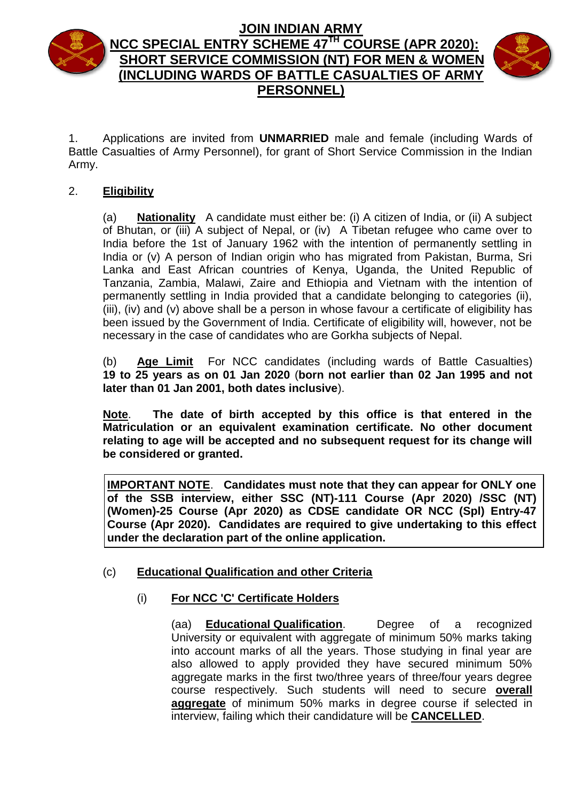

# **JOIN INDIAN ARMY NCC SPECIAL ENTRY SCHEME 47 TH COURSE (APR 2020): SHORT SERVICE COMMISSION (NT) FOR MEN & WOMEN (INCLUDING WARDS OF BATTLE CASUALTIES OF ARMY PERSONNEL)**



1. Applications are invited from **UNMARRIED** male and female (including Wards of Battle Casualties of Army Personnel), for grant of Short Service Commission in the Indian Army.

# 2. **Eligibility**

(a) **Nationality** A candidate must either be: (i) A citizen of India, or (ii) A subject of Bhutan, or (iii) A subject of Nepal, or (iv) A Tibetan refugee who came over to India before the 1st of January 1962 with the intention of permanently settling in India or (v) A person of Indian origin who has migrated from Pakistan, Burma, Sri Lanka and East African countries of Kenya, Uganda, the United Republic of Tanzania, Zambia, Malawi, Zaire and Ethiopia and Vietnam with the intention of permanently settling in India provided that a candidate belonging to categories (ii), (iii), (iv) and (v) above shall be a person in whose favour a certificate of eligibility has been issued by the Government of India. Certificate of eligibility will, however, not be necessary in the case of candidates who are Gorkha subjects of Nepal.

(b) **Age Limit** For NCC candidates (including wards of Battle Casualties) **19 to 25 years as on 01 Jan 2020** (**born not earlier than 02 Jan 1995 and not later than 01 Jan 2001, both dates inclusive**).

**Note**. **The date of birth accepted by this office is that entered in the Matriculation or an equivalent examination certificate. No other document relating to age will be accepted and no subsequent request for its change will be considered or granted.**

**IMPORTANT NOTE**. **Candidates must note that they can appear for ONLY one of the SSB interview, either SSC (NT)-111 Course (Apr 2020) /SSC (NT) (Women)-25 Course (Apr 2020) as CDSE candidate OR NCC (Spl) Entry-47 Course (Apr 2020). Candidates are required to give undertaking to this effect under the declaration part of the online application.**

# (c) **Educational Qualification and other Criteria**

# (i) **For NCC 'C' Certificate Holders**

(aa) **Educational Qualification**. Degree of a recognized University or equivalent with aggregate of minimum 50% marks taking into account marks of all the years. Those studying in final year are also allowed to apply provided they have secured minimum 50% aggregate marks in the first two/three years of three/four years degree course respectively. Such students will need to secure **overall aggregate** of minimum 50% marks in degree course if selected in interview, failing which their candidature will be **CANCELLED**.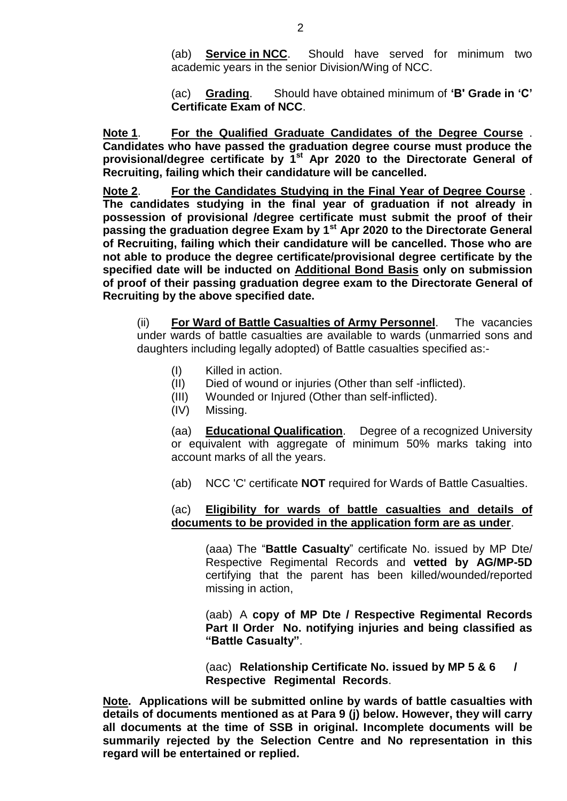(ab) **Service in NCC**. Should have served for minimum two academic years in the senior Division/Wing of NCC.

(ac) **Grading**. Should have obtained minimum of **'B' Grade in 'C' Certificate Exam of NCC**.

**Note 1**. **For the Qualified Graduate Candidates of the Degree Course** . **Candidates who have passed the graduation degree course must produce the provisional/degree certificate by 1st Apr 2020 to the Directorate General of Recruiting, failing which their candidature will be cancelled.**

**Note 2**. **For the Candidates Studying in the Final Year of Degree Course** . **The candidates studying in the final year of graduation if not already in possession of provisional /degree certificate must submit the proof of their passing the graduation degree Exam by 1st Apr 2020 to the Directorate General of Recruiting, failing which their candidature will be cancelled. Those who are not able to produce the degree certificate/provisional degree certificate by the specified date will be inducted on Additional Bond Basis only on submission of proof of their passing graduation degree exam to the Directorate General of Recruiting by the above specified date.** 

(ii) **For Ward of Battle Casualties of Army Personnel**.The vacancies under wards of battle casualties are available to wards (unmarried sons and daughters including legally adopted) of Battle casualties specified as:-

- (I) Killed in action.
- (II) Died of wound or injuries (Other than self -inflicted).
- (III) Wounded or Injured (Other than self-inflicted).
- (IV) Missing.

(aa) **Educational Qualification**. Degree of a recognized University or equivalent with aggregate of minimum 50% marks taking into account marks of all the years.

(ab) NCC 'C' certificate **NOT** required for Wards of Battle Casualties.

#### (ac) **Eligibility for wards of battle casualties and details of documents to be provided in the application form are as under**.

(aaa) The "**Battle Casualty**" certificate No. issued by MP Dte/ Respective Regimental Records and **vetted by AG/MP-5D** certifying that the parent has been killed/wounded/reported missing in action,

(aab) A **copy of MP Dte / Respective Regimental Records Part II Order No. notifying injuries and being classified as "Battle Casualty"**.

(aac) **Relationship Certificate No. issued by MP 5 & 6 / Respective Regimental Records**.

**Note. Applications will be submitted online by wards of battle casualties with details of documents mentioned as at Para 9 (j) below. However, they will carry all documents at the time of SSB in original. Incomplete documents will be summarily rejected by the Selection Centre and No representation in this regard will be entertained or replied.**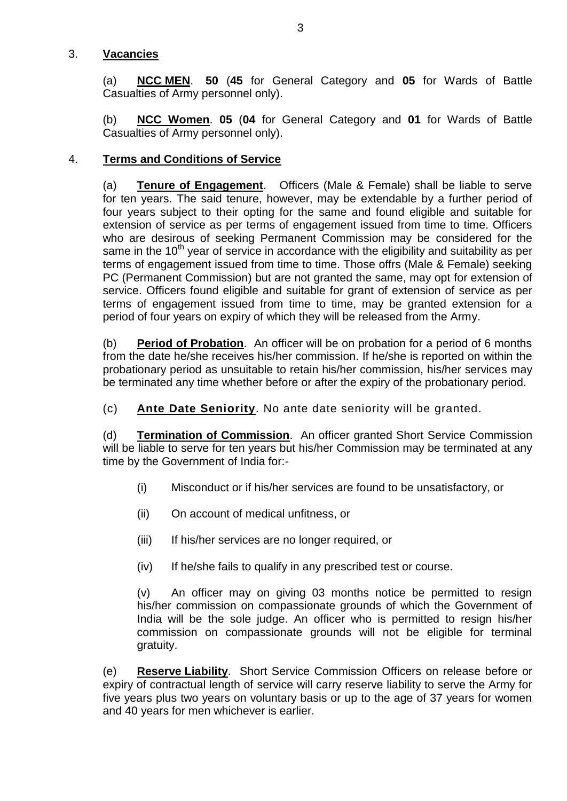#### 3. **Vacancies**

(a) **NCC MEN**. **50** (**45** for General Category and **05** for Wards of Battle Casualties of Army personnel only).

(b) **NCC Women**. **05** (**04** for General Category and **01** for Wards of Battle Casualties of Army personnel only).

# 4. **Terms and Conditions of Service**

(a) **Tenure of Engagement**.Officers (Male & Female) shall be liable to serve for ten years. The said tenure, however, may be extendable by a further period of four years subject to their opting for the same and found eligible and suitable for extension of service as per terms of engagement issued from time to time. Officers who are desirous of seeking Permanent Commission may be considered for the same in the 10<sup>th</sup> year of service in accordance with the eligibility and suitability as per terms of engagement issued from time to time. Those offrs (Male & Female) seeking PC (Permanent Commission) but are not granted the same, may opt for extension of service. Officers found eligible and suitable for grant of extension of service as per terms of engagement issued from time to time, may be granted extension for a period of four years on expiry of which they will be released from the Army.

(b) **Period of Probation**.An officer will be on probation for a period of 6 months from the date he/she receives his/her commission. If he/she is reported on within the probationary period as unsuitable to retain his/her commission, his/her services may be terminated any time whether before or after the expiry of the probationary period.

(c) **Ante Date Seniority**. No ante date seniority will be granted.

(d) **Termination of Commission**.An officer granted Short Service Commission will be liable to serve for ten years but his/her Commission may be terminated at any time by the Government of India for:-

- (i) Misconduct or if his/her services are found to be unsatisfactory, or
- (ii) On account of medical unfitness, or
- (iii) If his/her services are no longer required, or
- (iv) If he/she fails to qualify in any prescribed test or course.

(v) An officer may on giving 03 months notice be permitted to resign his/her commission on compassionate grounds of which the Government of India will be the sole judge. An officer who is permitted to resign his/her commission on compassionate grounds will not be eligible for terminal gratuity.

(e) **Reserve Liability**.Short Service Commission Officers on release before or expiry of contractual length of service will carry reserve liability to serve the Army for five years plus two years on voluntary basis or up to the age of 37 years for women and 40 years for men whichever is earlier.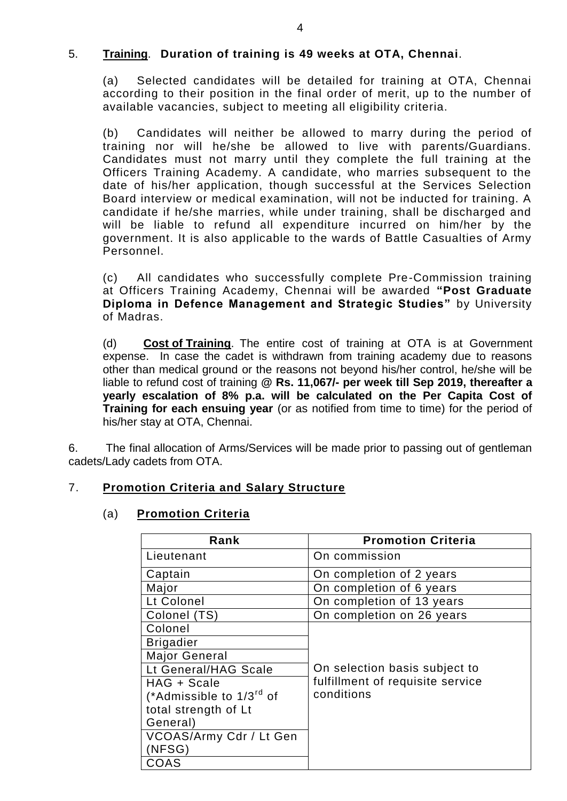#### 5. **Training**. **Duration of training is 49 weeks at OTA, Chennai**.

(a) Selected candidates will be detailed for training at OTA, Chennai according to their position in the final order of merit, up to the number of available vacancies, subject to meeting all eligibility criteria.

(b) Candidates will neither be allowed to marry during the period of training nor will he/she be allowed to live with parents/Guardians. Candidates must not marry until they complete the full training at the Officers Training Academy. A candidate, who marries subsequent to the date of his/her application, though successful at the Services Selection Board interview or medical examination, will not be inducted for training. A candidate if he/she marries, while under training, shall be discharged and will be liable to refund all expenditure incurred on him/her by the government. It is also applicable to the wards of Battle Casualties of Army Personnel.

(c) All candidates who successfully complete Pre-Commission training at Officers Training Academy, Chennai will be awarded **"Post Graduate Diploma in Defence Management and Strategic Studies"** by University of Madras.

(d) **Cost of Training**. The entire cost of training at OTA is at Government expense. In case the cadet is withdrawn from training academy due to reasons other than medical ground or the reasons not beyond his/her control, he/she will be liable to refund cost of training **@ Rs. 11,067/- per week till Sep 2019, thereafter a yearly escalation of 8% p.a. will be calculated on the Per Capita Cost of Training for each ensuing year** (or as notified from time to time) for the period of his/her stay at OTA, Chennai.

6. The final allocation of Arms/Services will be made prior to passing out of gentleman cadets/Lady cadets from OTA.

# 7. **Promotion Criteria and Salary Structure**

#### (a) **Promotion Criteria**

| Rank                                 | <b>Promotion Criteria</b>        |
|--------------------------------------|----------------------------------|
| Lieutenant                           | On commission                    |
| Captain                              | On completion of 2 years         |
| Major                                | On completion of 6 years         |
| Lt Colonel                           | On completion of 13 years        |
| Colonel (TS)                         | On completion on 26 years        |
| Colonel                              |                                  |
| <b>Brigadier</b>                     |                                  |
| <b>Major General</b>                 |                                  |
| Lt General/HAG Scale                 | On selection basis subject to    |
| HAG + Scale                          | fulfillment of requisite service |
| (*Admissible to 1/3 <sup>rd</sup> of | conditions                       |
| total strength of Lt                 |                                  |
| General)                             |                                  |
| VCOAS/Army Cdr / Lt Gen              |                                  |
| (NFSG)                               |                                  |
| COAS                                 |                                  |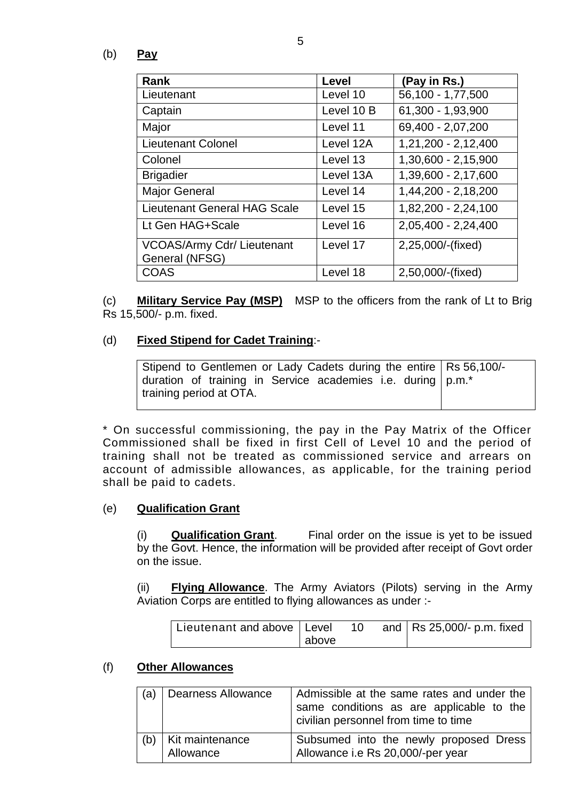(b) **Pay**

| Rank                                                | Level      | (Pay in Rs.)        |
|-----------------------------------------------------|------------|---------------------|
| Lieutenant                                          | Level 10   | 56,100 - 1,77,500   |
| Captain                                             | Level 10 B | 61,300 - 1,93,900   |
| Major                                               | Level 11   | 69,400 - 2,07,200   |
| <b>Lieutenant Colonel</b>                           | Level 12A  | 1,21,200 - 2,12,400 |
| Colonel                                             | Level 13   | 1,30,600 - 2,15,900 |
| <b>Brigadier</b>                                    | Level 13A  | 1,39,600 - 2,17,600 |
| <b>Major General</b>                                | Level 14   | 1,44,200 - 2,18,200 |
| <b>Lieutenant General HAG Scale</b>                 | Level 15   | 1,82,200 - 2,24,100 |
| Lt Gen HAG+Scale                                    | Level 16   | 2,05,400 - 2,24,400 |
| <b>VCOAS/Army Cdr/ Lieutenant</b><br>General (NFSG) | Level 17   | 2,25,000/-(fixed)   |
| <b>COAS</b>                                         | Level 18   | 2,50,000/-(fixed)   |

(c) **Military Service Pay (MSP)** MSP to the officers from the rank of Lt to Brig Rs 15,500/- p.m. fixed.

#### (d) **Fixed Stipend for Cadet Training**:-

| Stipend to Gentlemen or Lady Cadets during the entire   Rs 56,100/- |  |
|---------------------------------------------------------------------|--|
| duration of training in Service academies i.e. during   p.m.*       |  |
| I training period at OTA.                                           |  |

\* On successful commissioning, the pay in the Pay Matrix of the Officer Commissioned shall be fixed in first Cell of Level 10 and the period of training shall not be treated as commissioned service and arrears on account of admissible allowances, as applicable, for the training period shall be paid to cadets.

# (e) **Qualification Grant**

(i) **Qualification Grant**. Final order on the issue is yet to be issued by the Govt. Hence, the information will be provided after receipt of Govt order on the issue.

(ii) **Flying Allowance**. The Army Aviators (Pilots) serving in the Army Aviation Corps are entitled to flying allowances as under :-

| Lieutenant and above   Level |       | 10 | and $ $ Rs 25,000/- p.m. fixed |
|------------------------------|-------|----|--------------------------------|
|                              | above |    |                                |

#### (f) **Other Allowances**

| (a) | <b>Dearness Allowance</b>    | Admissible at the same rates and under the<br>same conditions as are applicable to the<br>civilian personnel from time to time |
|-----|------------------------------|--------------------------------------------------------------------------------------------------------------------------------|
| (b) | Kit maintenance<br>Allowance | Subsumed into the newly proposed Dress<br>Allowance i.e Rs 20,000/-per year                                                    |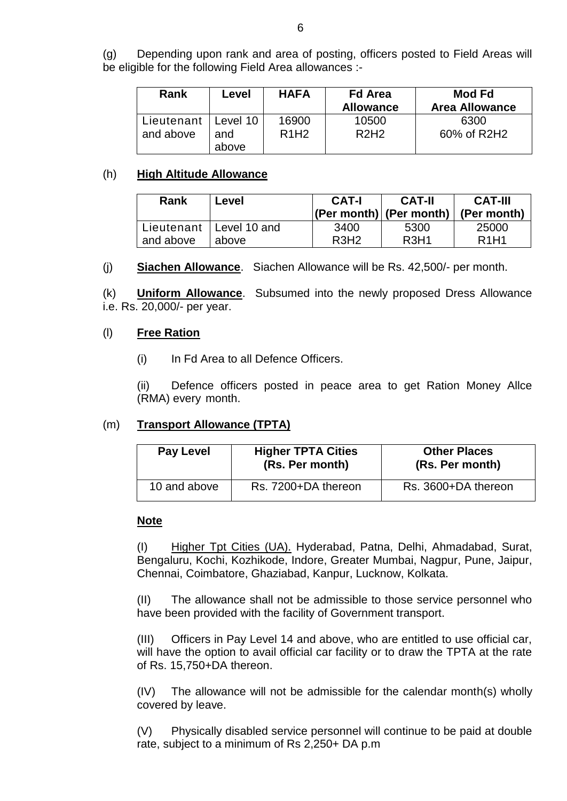(g) Depending upon rank and area of posting, officers posted to Field Areas will be eligible for the following Field Area allowances :-

| <b>Rank</b> | Level        | <b>HAFA</b> | <b>Fd Area</b><br><b>Allowance</b> | Mod Fd<br><b>Area Allowance</b> |
|-------------|--------------|-------------|------------------------------------|---------------------------------|
| Lieutenant  | Level 10     | 16900       | 10500                              | 6300                            |
| and above   | and<br>above | <b>R1H2</b> | R2H2                               | 60% of R2H2                     |

#### (h) **High Altitude Allowance**

| Rank      | Level                     | <b>CAT-I</b>     | <b>CAT-II</b><br>$ (Per month) $ (Per month) | <b>CAT-III</b><br>(Per month) |
|-----------|---------------------------|------------------|----------------------------------------------|-------------------------------|
| and above | Lieutenant   Level 10 and | 3400             | 5300                                         | 25000                         |
|           | above                     | R <sub>3H2</sub> | R <sub>3</sub> H <sub>1</sub>                | R <sub>1</sub> H <sub>1</sub> |

#### (j) **Siachen Allowance**. Siachen Allowance will be Rs. 42,500/- per month.

(k) **Uniform Allowance**. Subsumed into the newly proposed Dress Allowance i.e. Rs. 20,000/- per year.

#### (l) **Free Ration**

(i) In Fd Area to all Defence Officers.

(ii) Defence officers posted in peace area to get Ration Money Allce (RMA) every month.

# (m) **Transport Allowance (TPTA)**

| <b>Pay Level</b> | <b>Higher TPTA Cities</b><br>(Rs. Per month) | <b>Other Places</b><br>(Rs. Per month) |
|------------------|----------------------------------------------|----------------------------------------|
| 10 and above     | Rs. 7200+DA thereon                          | Rs. 3600+DA thereon                    |

#### **Note**

(I) Higher Tpt Cities (UA). Hyderabad, Patna, Delhi, Ahmadabad, Surat, Bengaluru, Kochi, Kozhikode, Indore, Greater Mumbai, Nagpur, Pune, Jaipur, Chennai, Coimbatore, Ghaziabad, Kanpur, Lucknow, Kolkata.

(II) The allowance shall not be admissible to those service personnel who have been provided with the facility of Government transport.

(III) Officers in Pay Level 14 and above, who are entitled to use official car, will have the option to avail official car facility or to draw the TPTA at the rate of Rs. 15,750+DA thereon.

(IV) The allowance will not be admissible for the calendar month(s) wholly covered by leave.

(V) Physically disabled service personnel will continue to be paid at double rate, subject to a minimum of Rs 2,250+ DA p.m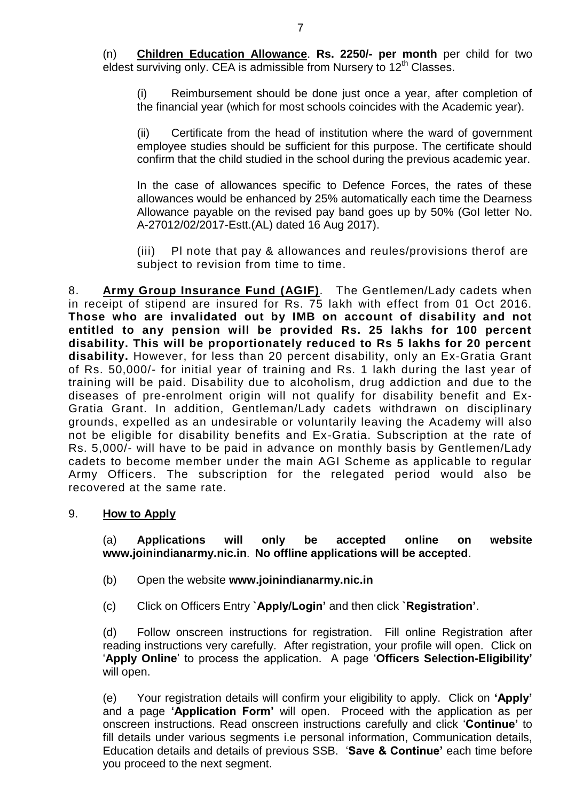(n) **Children Education Allowance**. **Rs. 2250/- per month** per child for two eldest surviving only. CEA is admissible from Nursery to  $12<sup>th</sup>$  Classes.

(i) Reimbursement should be done just once a year, after completion of the financial year (which for most schools coincides with the Academic year).

(ii) Certificate from the head of institution where the ward of government employee studies should be sufficient for this purpose. The certificate should confirm that the child studied in the school during the previous academic year.

In the case of allowances specific to Defence Forces, the rates of these allowances would be enhanced by 25% automatically each time the Dearness Allowance payable on the revised pay band goes up by 50% (GoI letter No. A-27012/02/2017-Estt.(AL) dated 16 Aug 2017).

(iii) Pl note that pay & allowances and reules/provisions therof are subject to revision from time to time.

8. **Army Group Insurance Fund (AGIF)**. The Gentlemen/Lady cadets when in receipt of stipend are insured for Rs. 75 lakh with effect from 01 Oct 2016. **Those who are invalidated out by IMB on account of disability and not entitled to any pension will be provided Rs. 25 lakhs for 100 percent disability. This will be proportionately reduced to Rs 5 lakhs for 20 percent disability.** However, for less than 20 percent disability, only an Ex-Gratia Grant of Rs. 50,000/- for initial year of training and Rs. 1 lakh during the last year of training will be paid. Disability due to alcoholism, drug addiction and due to the diseases of pre-enrolment origin will not qualify for disability benefit and Ex-Gratia Grant. In addition, Gentleman/Lady cadets withdrawn on disciplinary grounds, expelled as an undesirable or voluntarily leaving the Academy will also not be eligible for disability benefits and Ex-Gratia. Subscription at the rate of Rs. 5,000/- will have to be paid in advance on monthly basis by Gentlemen/Lady cadets to become member under the main AGI Scheme as applicable to regular Army Officers. The subscription for the relegated period would also be recovered at the same rate.

#### 9. **How to Apply**

(a) **Applications will only be accepted online on website [www.joinindianarmy.nic.in](http://www.joinindianarmy.nic.in/)**. **No offline applications will be accepted**.

- (b) Open the website **[www.joinindianarmy.nic.in](http://www.joinindianarmy.nic.in/)**
- (c) Click on Officers Entry **`Apply/Login'** and then click **`Registration'**.

(d) Follow onscreen instructions for registration. Fill online Registration after reading instructions very carefully. After registration, your profile will open. Click on '**Apply Online**' to process the application. A page '**Officers Selection-Eligibility'** will open.

(e) Your registration details will confirm your eligibility to apply. Click on **'Apply'** and a page **'Application Form'** will open. Proceed with the application as per onscreen instructions. Read onscreen instructions carefully and click '**Continue'** to fill details under various segments i.e personal information, Communication details, Education details and details of previous SSB. '**Save & Continue'** each time before you proceed to the next segment.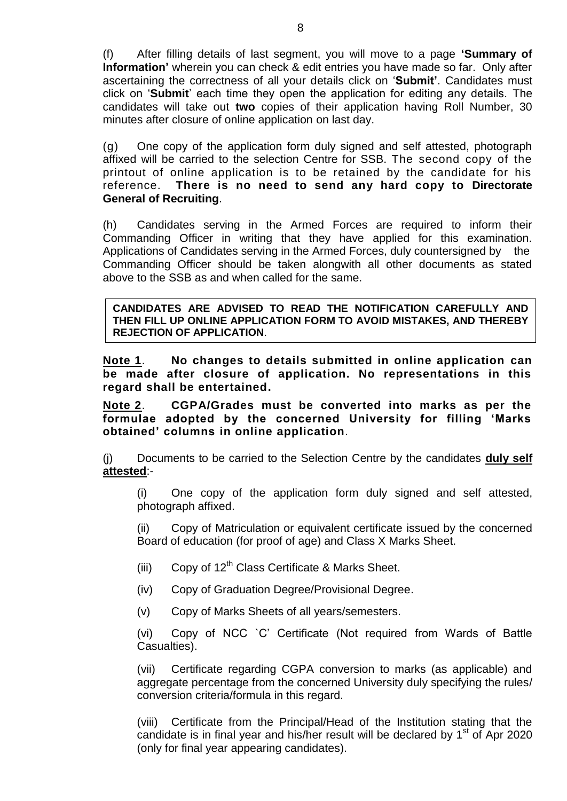(f) After filling details of last segment, you will move to a page **'Summary of Information'** wherein you can check & edit entries you have made so far. Only after ascertaining the correctness of all your details click on '**Submit'**. Candidates must click on '**Submit**' each time they open the application for editing any details. The candidates will take out **two** copies of their application having Roll Number, 30 minutes after closure of online application on last day.

(g) One copy of the application form duly signed and self attested, photograph affixed will be carried to the selection Centre for SSB. The second copy of the printout of online application is to be retained by the candidate for his reference. **There is no need to send any hard copy to Directorate General of Recruiting**.

(h) Candidates serving in the Armed Forces are required to inform their Commanding Officer in writing that they have applied for this examination. Applications of Candidates serving in the Armed Forces, duly countersigned by the Commanding Officer should be taken alongwith all other documents as stated above to the SSB as and when called for the same.

**CANDIDATES ARE ADVISED TO READ THE NOTIFICATION CAREFULLY AND THEN FILL UP ONLINE APPLICATION FORM TO AVOID MISTAKES, AND THEREBY REJECTION OF APPLICATION**.

**Note 1**. **No changes to details submitted in online application can be made after closure of application. No representations in this regard shall be entertained.** 

**Note 2**. **CGPA/Grades must be converted into marks as per the formulae adopted by the concerned University for filling 'Marks obtained' columns in online application**.

(j) Documents to be carried to the Selection Centre by the candidates **duly self attested**:-

(i) One copy of the application form duly signed and self attested, photograph affixed.

(ii) Copy of Matriculation or equivalent certificate issued by the concerned Board of education (for proof of age) and Class X Marks Sheet.

- (iii) Copy of  $12<sup>th</sup>$  Class Certificate & Marks Sheet.
- (iv) Copy of Graduation Degree/Provisional Degree.
- (v) Copy of Marks Sheets of all years/semesters.

(vi) Copy of NCC `C' Certificate (Not required from Wards of Battle Casualties).

(vii) Certificate regarding CGPA conversion to marks (as applicable) and aggregate percentage from the concerned University duly specifying the rules/ conversion criteria/formula in this regard.

(viii) Certificate from the Principal/Head of the Institution stating that the candidate is in final year and his/her result will be declared by  $1<sup>st</sup>$  of Apr 2020 (only for final year appearing candidates).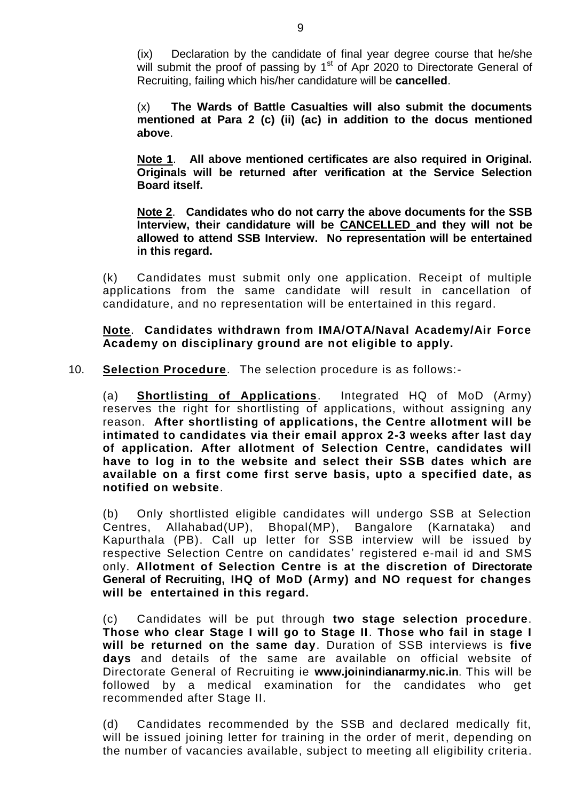(ix) Declaration by the candidate of final year degree course that he/she will submit the proof of passing by  $1<sup>st</sup>$  of Apr 2020 to Directorate General of Recruiting, failing which his/her candidature will be **cancelled**.

(x) **The Wards of Battle Casualties will also submit the documents mentioned at Para 2 (c) (ii) (ac) in addition to the docus mentioned above**.

**Note 1**. **All above mentioned certificates are also required in Original. Originals will be returned after verification at the Service Selection Board itself.** 

**Note 2**. **Candidates who do not carry the above documents for the SSB Interview, their candidature will be CANCELLED and they will not be allowed to attend SSB Interview. No representation will be entertained in this regard.**

(k) Candidates must submit only one application. Receipt of multiple applications from the same candidate will result in cancellation of candidature, and no representation will be entertained in this regard.

**Note**. **Candidates withdrawn from IMA/OTA/Naval Academy/Air Force Academy on disciplinary ground are not eligible to apply.**

10. **Selection Procedure**. The selection procedure is as follows:-

(a) **Shortlisting of Applications**. Integrated HQ of MoD (Army) reserves the right for shortlisting of applications, without assigning any reason. **After shortlisting of applications, the Centre allotment will be intimated to candidates via their email approx 2-3 weeks after last day of application. After allotment of Selection Centre, candidates will have to log in to the website and select their SSB dates which are available on a first come first serve basis, upto a specified date, as notified on website**.

(b) Only shortlisted eligible candidates will undergo SSB at Selection Centres, Allahabad(UP), Bhopal(MP), Bangalore (Karnataka) and Kapurthala (PB). Call up letter for SSB interview will be issued by respective Selection Centre on candidates' registered e-mail id and SMS only. **Allotment of Selection Centre is at the discretion of Directorate General of Recruiting, IHQ of MoD (Army) and NO request for changes will be entertained in this regard.** 

(c) Candidates will be put through **two stage selection procedure**. **Those who clear Stage I will go to Stage II**. **Those who fail in stage I will be returned on the same day**. Duration of SSB interviews is **five days** and details of the same are available on official website of Directorate General of Recruiting ie **[www.joinindianarmy.nic.in](http://www.joinindianarmy.nic.in/)**. This will be followed by a medical examination for the candidates who get recommended after Stage II.

(d) Candidates recommended by the SSB and declared medically fit, will be issued joining letter for training in the order of merit, depending on the number of vacancies available, subject to meeting all eligibility criteria.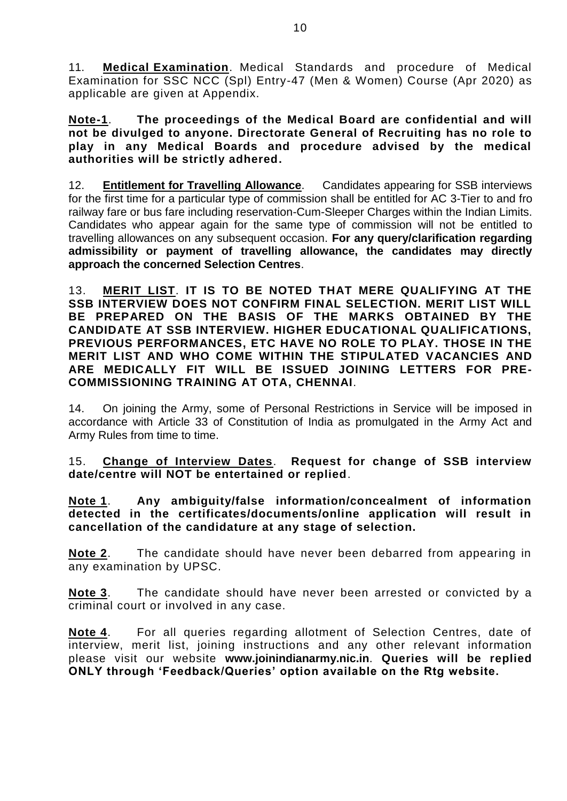11. **Medical Examination**. Medical Standards and procedure of Medical Examination for SSC NCC (Spl) Entry-47 (Men & Women) Course (Apr 2020) as applicable are given at Appendix.

**Note-1**. **The proceedings of the Medical Board are confidential and will not be divulged to anyone. Directorate General of Recruiting has no role to play in any Medical Boards and procedure advised by the medical authorities will be strictly adhered.**

12. **Entitlement for Travelling Allowance**. Candidates appearing for SSB interviews for the first time for a particular type of commission shall be entitled for AC 3-Tier to and fro railway fare or bus fare including reservation-Cum-Sleeper Charges within the Indian Limits. Candidates who appear again for the same type of commission will not be entitled to travelling allowances on any subsequent occasion. **For any query/clarification regarding admissibility or payment of travelling allowance, the candidates may directly approach the concerned Selection Centres**.

13. **MERIT LIST**. **IT IS TO BE NOTED THAT MERE QUALIFYING AT THE SSB INTERVIEW DOES NOT CONFIRM FINAL SELECTION. MERIT LIST WILL BE PREPARED ON THE BASIS OF THE MARKS OBTAINED BY THE CANDIDATE AT SSB INTERVIEW. HIGHER EDUCATIONAL QUALIFICATIONS, PREVIOUS PERFORMANCES, ETC HAVE NO ROLE TO PLAY. THOSE IN THE MERIT LIST AND WHO COME WITHIN THE STIPULATED VACANCIES AND ARE MEDICALLY FIT WILL BE ISSUED JOINING LETTERS FOR PRE-COMMISSIONING TRAINING AT OTA, CHENNAI**.

14. On joining the Army, some of Personal Restrictions in Service will be imposed in accordance with Article 33 of Constitution of India as promulgated in the Army Act and Army Rules from time to time.

15. **Change of Interview Dates**. **Request for change of SSB interview date/centre will NOT be entertained or replied**.

**Note 1**. **Any ambiguity/false information/concealment of information detected in the certificates/documents/online application will result in cancellation of the candidature at any stage of selection.**

**Note 2**. The candidate should have never been debarred from appearing in any examination by UPSC.

**Note 3**. The candidate should have never been arrested or convicted by a criminal court or involved in any case.

**Note 4**. For all queries regarding allotment of Selection Centres, date of interview, merit list, joining instructions and any other relevant information please visit our website **[www.joinindianarmy.nic.in](http://www.joinindianarmy.nic.in/)**. **Queries will be replied ONLY through 'Feedback/Queries' option available on the Rtg website.**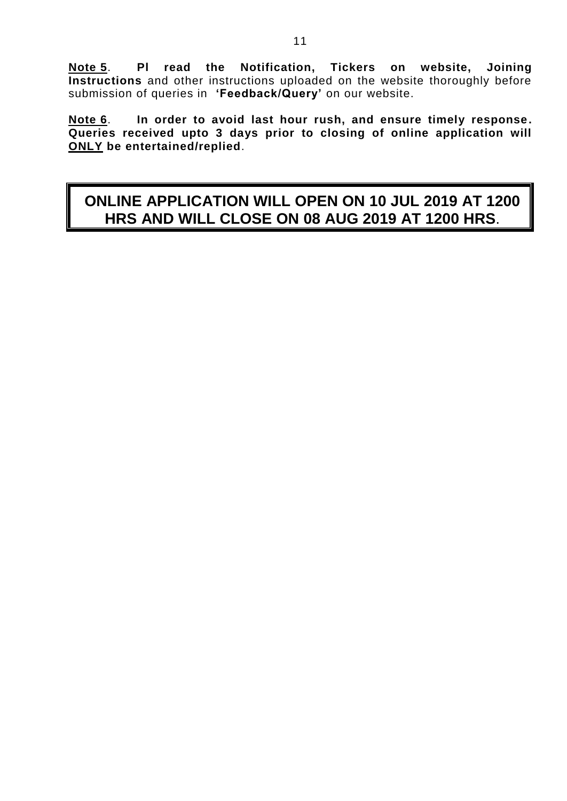**Note 5**. **Pl read the Notification, Tickers on website, Joining Instructions** and other instructions uploaded on the website thoroughly before submission of queries in **'Feedback/Query'** on our website.

**Note 6**. **In order to avoid last hour rush, and ensure timely response. Queries received upto 3 days prior to closing of online application will ONLY be entertained/replied**.

# **ONLINE APPLICATION WILL OPEN ON 10 JUL 2019 AT 1200 HRS AND WILL CLOSE ON 08 AUG 2019 AT 1200 HRS**.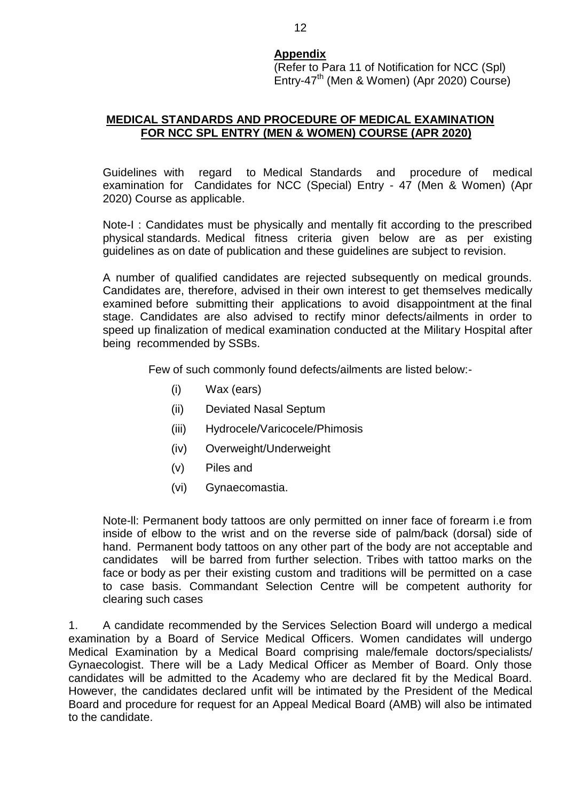#### **Appendix**

(Refer to Para 11 of Notification for NCC (Spl)  $Entrv-47<sup>th</sup>$  (Men & Women) (Apr 2020) Course)

#### **MEDICAL STANDARDS AND PROCEDURE OF MEDICAL EXAMINATION FOR NCC SPL ENTRY (MEN & WOMEN) COURSE (APR 2020)**

Guidelines with regard to Medical Standards and procedure of medical examination for Candidates for NCC (Special) Entry - 47 (Men & Women) (Apr 2020) Course as applicable.

Note-I : Candidates must be physically and mentally fit according to the prescribed physical standards. Medical fitness criteria given below are as per existing guidelines as on date of publication and these guidelines are subject to revision.

A number of qualified candidates are rejected subsequently on medical grounds. Candidates are, therefore, advised in their own interest to get themselves medically examined before submitting their applications to avoid disappointment at the final stage. Candidates are also advised to rectify minor defects/ailments in order to speed up finalization of medical examination conducted at the Military Hospital after being recommended by SSBs.

Few of such commonly found defects/ailments are listed below:-

- (i) Wax (ears)
- (ii) Deviated Nasal Septum
- (iii) Hydrocele/Varicocele/Phimosis
- (iv) Overweight/Underweight
- (v) Piles and
- (vi) Gynaecomastia.

Note-ll: Permanent body tattoos are only permitted on inner face of forearm i.e from inside of elbow to the wrist and on the reverse side of palm/back (dorsal) side of hand. Permanent body tattoos on any other part of the body are not acceptable and candidates will be barred from further selection. Tribes with tattoo marks on the face or body as per their existing custom and traditions will be permitted on a case to case basis. Commandant Selection Centre will be competent authority for clearing such cases

1. A candidate recommended by the Services Selection Board will undergo a medical examination by a Board of Service Medical Officers. Women candidates will undergo Medical Examination by a Medical Board comprising male/female doctors/specialists/ Gynaecologist. There will be a Lady Medical Officer as Member of Board. Only those candidates will be admitted to the Academy who are declared fit by the Medical Board. However, the candidates declared unfit will be intimated by the President of the Medical Board and procedure for request for an Appeal Medical Board (AMB) will also be intimated to the candidate.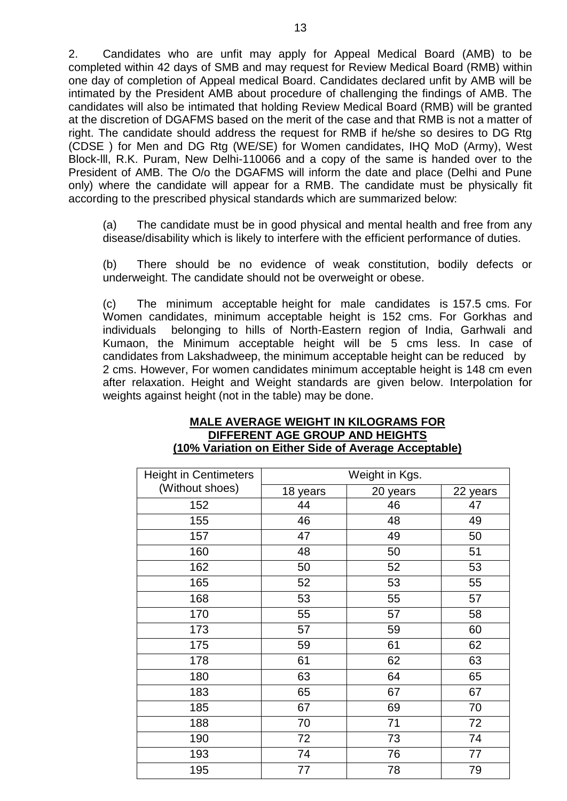2. Candidates who are unfit may apply for Appeal Medical Board (AMB) to be completed within 42 days of SMB and may request for Review Medical Board (RMB) within one day of completion of Appeal medical Board. Candidates declared unfit by AMB will be intimated by the President AMB about procedure of challenging the findings of AMB. The candidates will also be intimated that holding Review Medical Board (RMB) will be granted at the discretion of DGAFMS based on the merit of the case and that RMB is not a matter of right. The candidate should address the request for RMB if he/she so desires to DG Rtg (CDSE ) for Men and DG Rtg (WE/SE) for Women candidates, IHQ MoD (Army), West Block-lll, R.K. Puram, New Delhi-110066 and a copy of the same is handed over to the President of AMB. The O/o the DGAFMS will inform the date and place (Delhi and Pune only) where the candidate will appear for a RMB. The candidate must be physically fit according to the prescribed physical standards which are summarized below:

(a) The candidate must be in good physical and mental health and free from any disease/disability which is likely to interfere with the efficient performance of duties.

(b) There should be no evidence of weak constitution, bodily defects or underweight. The candidate should not be overweight or obese.

(c) The minimum acceptable height for male candidates is 157.5 cms. For Women candidates, minimum acceptable height is 152 cms. For Gorkhas and individuals belonging to hills of North-Eastern region of India, Garhwali and Kumaon, the Minimum acceptable height will be 5 cms less. In case of candidates from Lakshadweep, the minimum acceptable height can be reduced by 2 cms. However, For women candidates minimum acceptable height is 148 cm even after relaxation. Height and Weight standards are given below. Interpolation for weights against height (not in the table) may be done.

#### **MALE AVERAGE WEIGHT IN KILOGRAMS FOR DIFFERENT AGE GROUP AND HEIGHTS (10% Variation on Either Side of Average Acceptable)**

| <b>Height in Centimeters</b> | Weight in Kgs. |          |          |  |
|------------------------------|----------------|----------|----------|--|
| (Without shoes)              | 18 years       | 20 years | 22 years |  |
| 152                          | 44             | 46       | 47       |  |
| 155                          | 46             | 48       | 49       |  |
| 157                          | 47             | 49       | 50       |  |
| 160                          | 48             | 50       | 51       |  |
| 162                          | 50             | 52       | 53       |  |
| 165                          | 52             | 53       | 55       |  |
| 168                          | 53             | 55       | 57       |  |
| 170                          | 55             | 57       | 58       |  |
| 173                          | 57             | 59       | 60       |  |
| 175                          | 59             | 61       | 62       |  |
| 178                          | 61             | 62       | 63       |  |
| 180                          | 63             | 64       | 65       |  |
| 183                          | 65             | 67       | 67       |  |
| 185                          | 67             | 69       | 70       |  |
| 188                          | 70             | 71       | 72       |  |
| 190                          | 72             | 73       | 74       |  |
| 193                          | 74             | 76       | 77       |  |
| 195                          | 77             | 78       | 79       |  |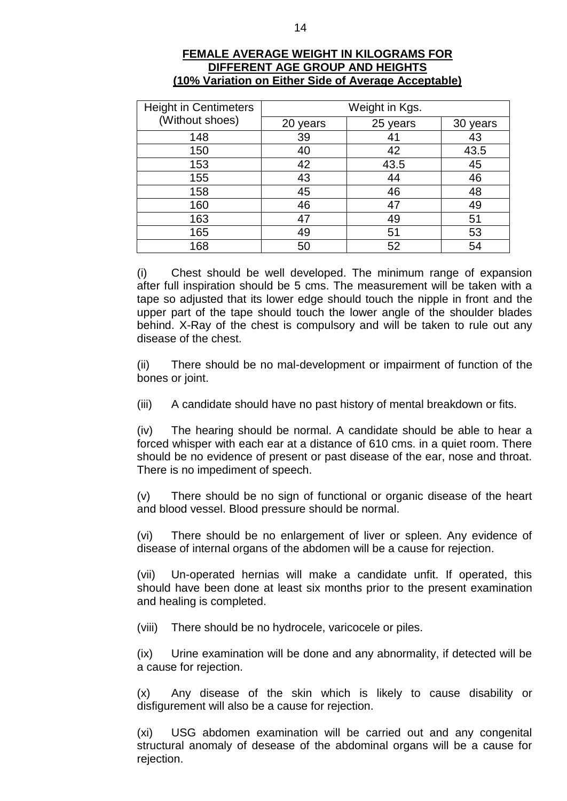| <b>Height in Centimeters</b> | Weight in Kgs. |          |          |  |
|------------------------------|----------------|----------|----------|--|
| (Without shoes)              | 20 years       | 25 years | 30 years |  |
| 148                          | 39             | 41       | 43       |  |
| 150                          | 40             | 42       | 43.5     |  |
| 153                          | 42             | 43.5     | 45       |  |
| 155                          | 43             | 44       | 46       |  |
| 158                          | 45             | 46       | 48       |  |
| 160                          | 46             | 47       | 49       |  |
| 163                          | 47             | 49       | 51       |  |
| 165                          | 49             | 51       | 53       |  |
| 168                          | 50             | 52       | 54       |  |

#### **FEMALE AVERAGE WEIGHT IN KILOGRAMS FOR DIFFERENT AGE GROUP AND HEIGHTS (10% Variation on Either Side of Average Acceptable)**

(i) Chest should be well developed. The minimum range of expansion after full inspiration should be 5 cms. The measurement will be taken with a tape so adjusted that its lower edge should touch the nipple in front and the upper part of the tape should touch the lower angle of the shoulder blades behind. X-Ray of the chest is compulsory and will be taken to rule out any disease of the chest.

(ii) There should be no mal-development or impairment of function of the bones or joint.

(iii) A candidate should have no past history of mental breakdown or fits.

(iv) The hearing should be normal. A candidate should be able to hear a forced whisper with each ear at a distance of 610 cms. in a quiet room. There should be no evidence of present or past disease of the ear, nose and throat. There is no impediment of speech.

(v) There should be no sign of functional or organic disease of the heart and blood vessel. Blood pressure should be normal.

(vi) There should be no enlargement of liver or spleen. Any evidence of disease of internal organs of the abdomen will be a cause for rejection.

(vii) Un-operated hernias will make a candidate unfit. If operated, this should have been done at least six months prior to the present examination and healing is completed.

(viii) There should be no hydrocele, varicocele or piles.

(ix) Urine examination will be done and any abnormality, if detected will be a cause for rejection.

(x) Any disease of the skin which is likely to cause disability or disfigurement will also be a cause for rejection.

(xi) USG abdomen examination will be carried out and any congenital structural anomaly of desease of the abdominal organs will be a cause for rejection.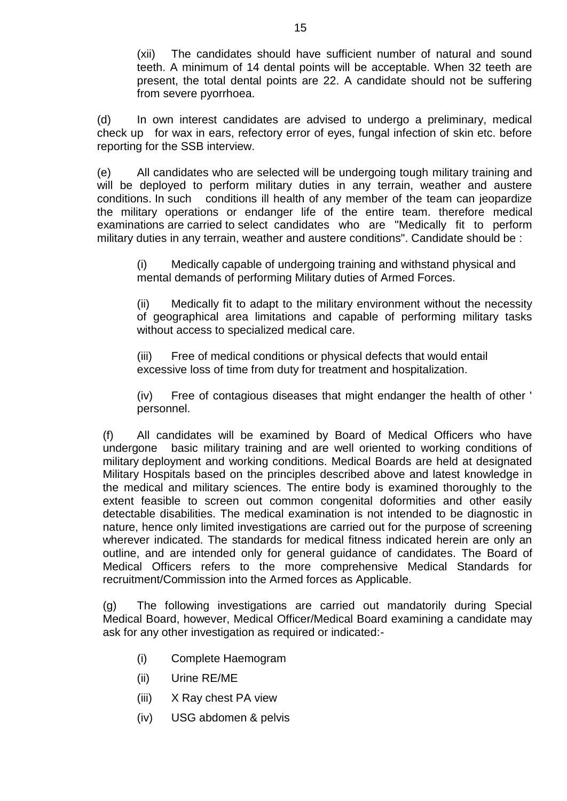(xii) The candidates should have sufficient number of natural and sound teeth. A minimum of 14 dental points will be acceptable. When 32 teeth are present, the total dental points are 22. A candidate should not be suffering from severe pyorrhoea.

(d) In own interest candidates are advised to undergo a preliminary, medical check up for wax in ears, refectory error of eyes, fungal infection of skin etc. before reporting for the SSB interview.

(e) All candidates who are selected will be undergoing tough military training and will be deployed to perform military duties in any terrain, weather and austere conditions. In such conditions ill health of any member of the team can jeopardize the military operations or endanger life of the entire team. therefore medical examinations are carried to select candidates who are "Medically fit to perform military duties in any terrain, weather and austere conditions". Candidate should be :

(i) Medically capable of undergoing training and withstand physical and mental demands of performing Military duties of Armed Forces.

(ii) Medically fit to adapt to the military environment without the necessity of geographical area limitations and capable of performing military tasks without access to specialized medical care.

(iii) Free of medical conditions or physical defects that would entail excessive loss of time from duty for treatment and hospitalization.

(iv) Free of contagious diseases that might endanger the health of other ' personnel.

(f) All candidates will be examined by Board of Medical Officers who have undergone basic military training and are well oriented to working conditions of military deployment and working conditions. Medical Boards are held at designated Military Hospitals based on the principles described above and latest knowledge in the medical and military sciences. The entire body is examined thoroughly to the extent feasible to screen out common congenital doformities and other easily detectable disabilities. The medical examination is not intended to be diagnostic in nature, hence only limited investigations are carried out for the purpose of screening wherever indicated. The standards for medical fitness indicated herein are only an outline, and are intended only for general guidance of candidates. The Board of Medical Officers refers to the more comprehensive Medical Standards for recruitment/Commission into the Armed forces as Applicable.

(g) The following investigations are carried out mandatorily during Special Medical Board, however, Medical Officer/Medical Board examining a candidate may ask for any other investigation as required or indicated:-

- (i) Complete Haemogram
- (ii) Urine RE/ME
- (iii) X Ray chest PA view
- (iv) USG abdomen & pelvis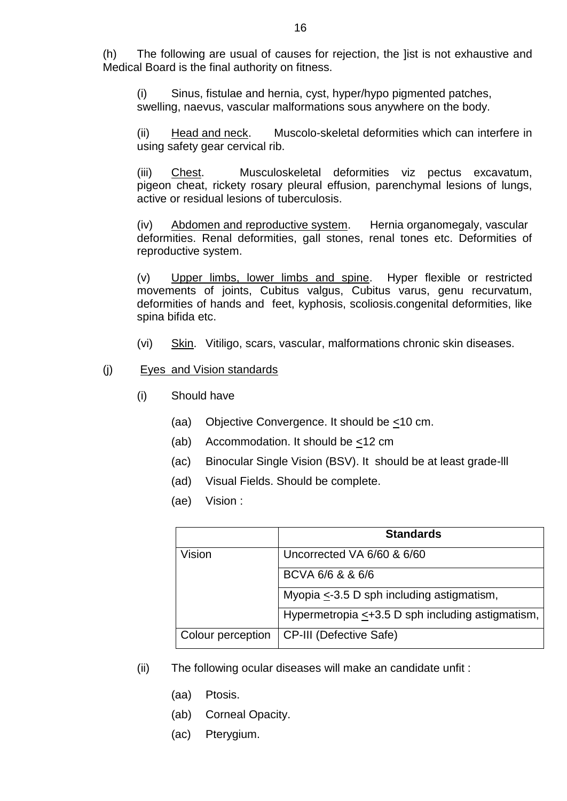(h) The following are usual of causes for rejection, the ]ist is not exhaustive and Medical Board is the final authority on fitness.

(i) Sinus, fistulae and hernia, cyst, hyper/hypo pigmented patches, swelling, naevus, vascular malformations sous anywhere on the body.

(ii) Head and neck. Muscolo-skeletal deformities which can interfere in using safety gear cervical rib.

(iii) Chest. Musculoskeletal deformities viz pectus excavatum, pigeon cheat, rickety rosary pleural effusion, parenchymal lesions of lungs, active or residual lesions of tuberculosis.

(iv) Abdomen and reproductive system. Hernia organomegaly, vascular deformities. Renal deformities, gall stones, renal tones etc. Deformities of reproductive system.

(v) Upper limbs, lower limbs and spine. Hyper flexible or restricted movements of joints, Cubitus valgus, Cubitus varus, genu recurvatum, deformities of hands and feet, kyphosis, scoliosis.congenital deformities, like spina bifida etc.

(vi) Skin. Vitiligo, scars, vascular, malformations chronic skin diseases.

#### (j) Eyes and Vision standards

- (i) Should have
	- (aa) Objective Convergence. It should be <10 cm.
	- (ab) Accommodation. It should be <12 cm
	- (ac) Binocular Single Vision (BSV). It should be at least grade-lll
	- (ad) Visual Fields. Should be complete.
	- (ae) Vision :

|                   | <b>Standards</b>                                       |
|-------------------|--------------------------------------------------------|
| Vision            | Uncorrected VA 6/60 & 6/60                             |
|                   | BCVA 6/6 & & 6/6                                       |
|                   | Myopia $\leq$ -3.5 D sph including astigmatism,        |
|                   | Hypermetropia $\leq +3.5$ D sph including astigmatism, |
| Colour perception | <b>CP-III (Defective Safe)</b>                         |

- (ii) The following ocular diseases will make an candidate unfit :
	- (aa) Ptosis.
	- (ab) Corneal Opacity.
	- (ac) Pterygium.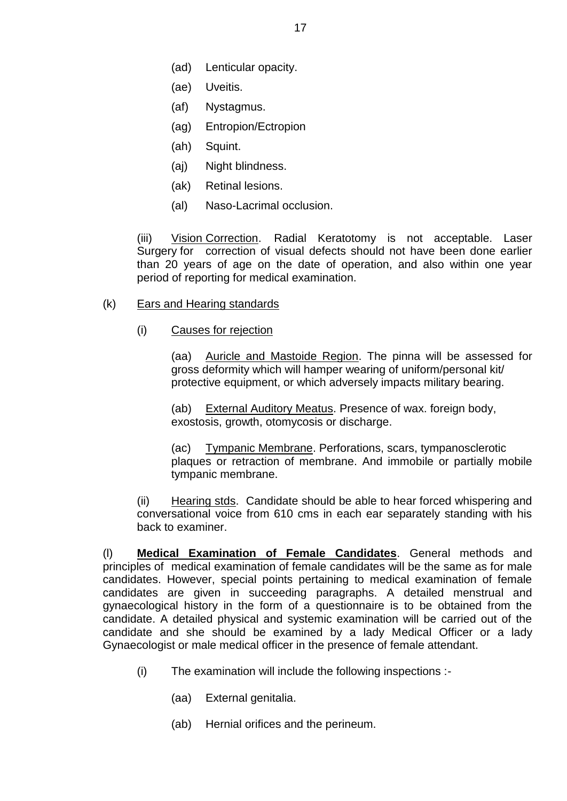- (ad) Lenticular opacity.
- (ae) Uveitis.
- (af) Nystagmus.
- (ag) Entropion/Ectropion
- (ah) Squint.
- (aj) Night blindness.
- (ak) Retinal lesions.
- (al) Naso-Lacrimal occlusion.

(iii) Vision Correction. Radial Keratotomy is not acceptable. Laser Surgery for correction of visual defects should not have been done earlier than 20 years of age on the date of operation, and also within one year period of reporting for medical examination.

#### (k) Ears and Hearing standards

(i) Causes for rejection

(aa) Auricle and Mastoide Region. The pinna will be assessed for gross deformity which will hamper wearing of uniform/personal kit/ protective equipment, or which adversely impacts military bearing.

(ab) External Auditory Meatus. Presence of wax. foreign body, exostosis, growth, otomycosis or discharge.

(ac) Tympanic Membrane. Perforations, scars, tympanosclerotic plaques or retraction of membrane. And immobile or partially mobile tympanic membrane.

(ii) Hearing stds. Candidate should be able to hear forced whispering and conversational voice from 610 cms in each ear separately standing with his back to examiner.

(l) **Medical Examination of Female Candidates**. General methods and principles of medical examination of female candidates will be the same as for male candidates. However, special points pertaining to medical examination of female candidates are given in succeeding paragraphs. A detailed menstrual and gynaecological history in the form of a questionnaire is to be obtained from the candidate. A detailed physical and systemic examination will be carried out of the candidate and she should be examined by a lady Medical Officer or a lady Gynaecologist or male medical officer in the presence of female attendant.

- (i) The examination will include the following inspections :-
	- (aa) External genitalia.
	- (ab) Hernial orifices and the perineum.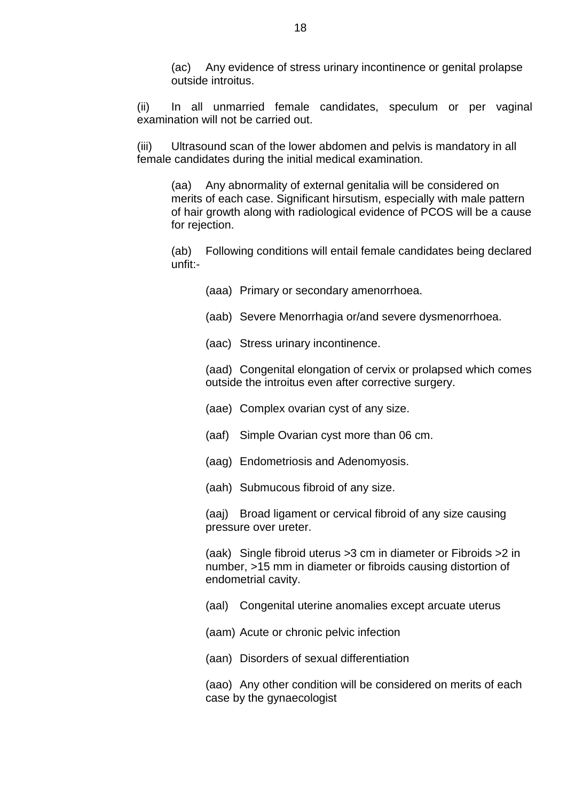(ac) Any evidence of stress urinary incontinence or genital prolapse outside introitus.

(ii) In all unmarried female candidates, speculum or per vaginal examination will not be carried out.

(iii) Ultrasound scan of the lower abdomen and pelvis is mandatory in all female candidates during the initial medical examination.

(aa) Any abnormality of external genitalia will be considered on merits of each case. Significant hirsutism, especially with male pattern of hair growth along with radiological evidence of PCOS will be a cause for rejection.

(ab) Following conditions will entail female candidates being declared unfit:-

(aaa) Primary or secondary amenorrhoea.

(aab) Severe Menorrhagia or/and severe dysmenorrhoea.

(aac) Stress urinary incontinence.

(aad) Congenital elongation of cervix or prolapsed which comes outside the introitus even after corrective surgery.

(aae) Complex ovarian cyst of any size.

(aaf) Simple Ovarian cyst more than 06 cm.

(aag) Endometriosis and Adenomyosis.

(aah) Submucous fibroid of any size.

(aaj) Broad ligament or cervical fibroid of any size causing pressure over ureter.

(aak) Single fibroid uterus >3 cm in diameter or Fibroids >2 in number, >15 mm in diameter or fibroids causing distortion of endometrial cavity.

(aal) Congenital uterine anomalies except arcuate uterus

(aam) Acute or chronic pelvic infection

(aan) Disorders of sexual differentiation

(aao) Any other condition will be considered on merits of each case by the gynaecologist